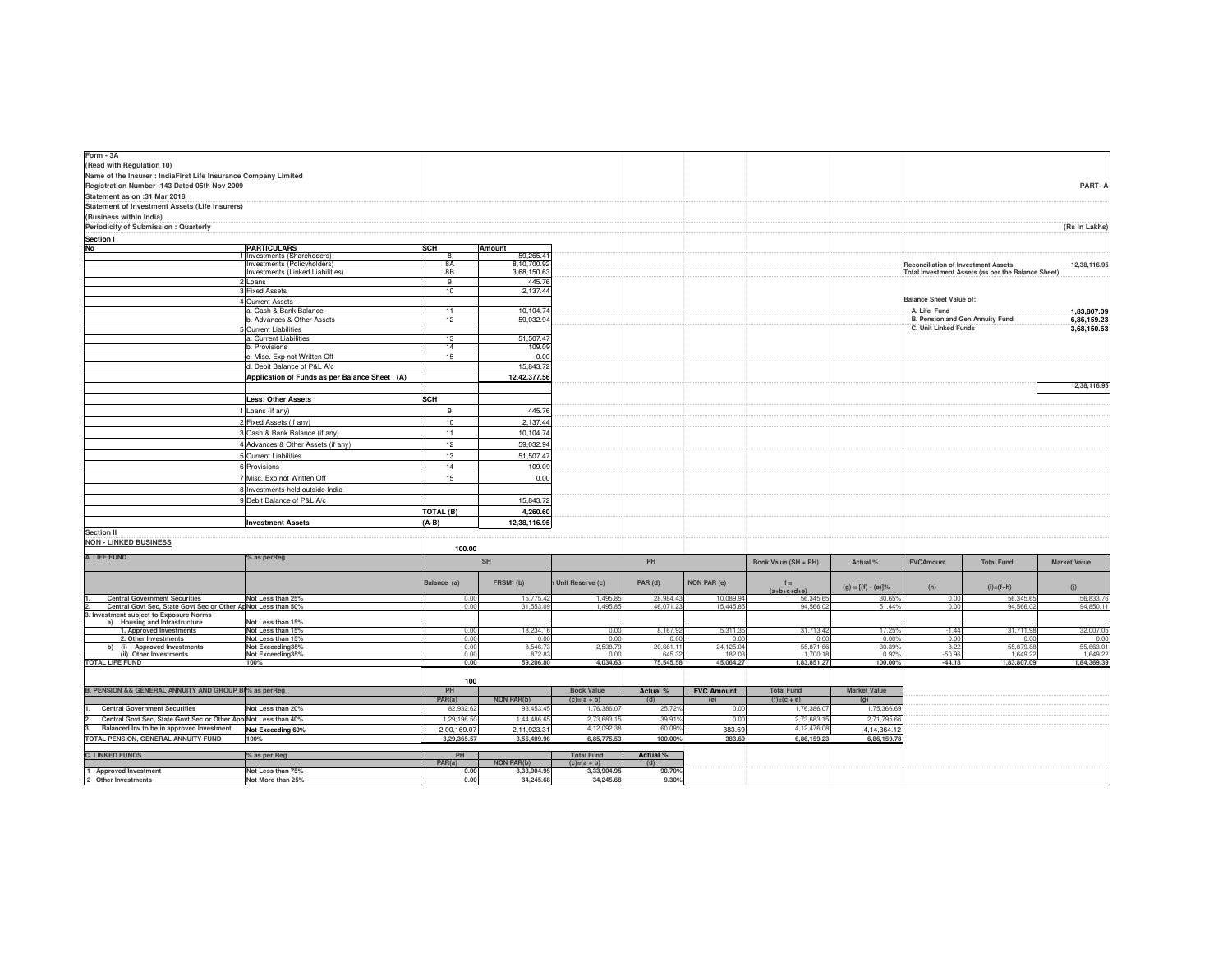| Form - 3A                                                                                                |                                                            |              |                          |                                    |                   |                   |                                    |                       |                                            |                                                    |                     |
|----------------------------------------------------------------------------------------------------------|------------------------------------------------------------|--------------|--------------------------|------------------------------------|-------------------|-------------------|------------------------------------|-----------------------|--------------------------------------------|----------------------------------------------------|---------------------|
| (Read with Regulation 10)                                                                                |                                                            |              |                          |                                    |                   |                   |                                    |                       |                                            |                                                    |                     |
| Name of the Insurer : IndiaFirst Life Insurance Company Limited                                          |                                                            |              |                          |                                    |                   |                   |                                    |                       |                                            |                                                    |                     |
| Registration Number : 143 Dated 05th Nov 2009                                                            |                                                            |              |                          |                                    |                   |                   |                                    |                       |                                            |                                                    | PART-A              |
| Statement as on :31 Mar 2018                                                                             |                                                            |              |                          |                                    |                   |                   |                                    |                       |                                            |                                                    |                     |
| Statement of Investment Assets (Life Insurers)                                                           |                                                            |              |                          |                                    |                   |                   |                                    |                       |                                            |                                                    |                     |
| (Business within India)                                                                                  |                                                            |              |                          |                                    |                   |                   |                                    |                       |                                            |                                                    |                     |
| Periodicity of Submission : Quarterly                                                                    |                                                            |              |                          |                                    |                   |                   |                                    |                       |                                            |                                                    | (Rs in Lakhs)       |
| <b>Section I</b>                                                                                         |                                                            |              |                          |                                    |                   |                   |                                    |                       |                                            |                                                    |                     |
| No                                                                                                       | <b>PARTICULARS</b>                                         | <b>SCH</b>   | Amount                   |                                    |                   |                   |                                    |                       |                                            |                                                    |                     |
|                                                                                                          | I Investments (Sharehoders)<br>Investments (Policyholders) | <b>8A</b>    | 59,265.41<br>8,10,700.92 |                                    |                   |                   |                                    |                       | <b>Reconciliation of Investment Assets</b> |                                                    | 12,38,116.95        |
|                                                                                                          | Investments (Linked Liabilities)                           | 8B           | 3,68,150.63              |                                    |                   |                   |                                    |                       |                                            | Total Investment Assets (as per the Balance Sheet) |                     |
|                                                                                                          | 2 Loans                                                    | 9            | 445.76                   |                                    |                   |                   |                                    |                       |                                            |                                                    |                     |
|                                                                                                          | 3 Fixed Assets                                             | 10           | 2,137.44                 |                                    |                   |                   |                                    |                       |                                            |                                                    |                     |
|                                                                                                          | 4 Current Assets                                           |              |                          |                                    |                   |                   |                                    |                       | <b>Balance Sheet Value of:</b>             |                                                    |                     |
|                                                                                                          | a. Cash & Bank Balance                                     | 11           | 10,104.74                |                                    |                   |                   |                                    |                       | A. Life Fund                               |                                                    | 1,83,807.09         |
|                                                                                                          | b. Advances & Other Assets                                 | 12           | 59,032.94                |                                    |                   |                   |                                    |                       | B. Pension and Gen Annuity Fund            |                                                    | 6,86,159.23         |
|                                                                                                          | 5 Current Liabilities                                      |              |                          |                                    |                   |                   |                                    |                       | C. Unit Linked Funds                       |                                                    | 3,68,150.63         |
|                                                                                                          | a. Current Liabilities<br>b. Provisions                    | 13<br>14     | 51,507.47<br>109.09      |                                    |                   |                   |                                    |                       |                                            |                                                    |                     |
|                                                                                                          | c. Misc. Exp not Written Off                               | 15           | 0.00                     |                                    |                   |                   |                                    |                       |                                            |                                                    |                     |
|                                                                                                          | d. Debit Balance of P&L A/c                                |              | 15,843.72                |                                    |                   |                   |                                    |                       |                                            |                                                    |                     |
|                                                                                                          | Application of Funds as per Balance Sheet (A)              |              | 12,42,377.56             |                                    |                   |                   |                                    |                       |                                            |                                                    |                     |
|                                                                                                          |                                                            |              |                          |                                    |                   |                   |                                    |                       |                                            |                                                    | 12,38,116.95        |
|                                                                                                          | <b>Less: Other Assets</b>                                  | SCH          |                          |                                    |                   |                   |                                    |                       |                                            |                                                    |                     |
|                                                                                                          | 1 Loans (if any)                                           | 9            | 445.76                   |                                    |                   |                   |                                    |                       |                                            |                                                    |                     |
|                                                                                                          | 2 Fixed Assets (if any)                                    | 10           | 2,137.44                 |                                    |                   |                   |                                    |                       |                                            |                                                    |                     |
|                                                                                                          | 3 Cash & Bank Balance (if any)                             | 11           | 10,104.74                |                                    |                   |                   |                                    |                       |                                            |                                                    |                     |
|                                                                                                          | 4 Advances & Other Assets (if any)                         | 12           | 59,032.94                |                                    |                   |                   |                                    |                       |                                            |                                                    |                     |
|                                                                                                          |                                                            |              |                          |                                    |                   |                   |                                    |                       |                                            |                                                    |                     |
|                                                                                                          | 5 Current Liabilities                                      | 13           | 51,507.47                |                                    |                   |                   |                                    |                       |                                            |                                                    |                     |
|                                                                                                          | 6 Provisions                                               | 14           | 109.09                   |                                    |                   |                   |                                    |                       |                                            |                                                    |                     |
|                                                                                                          | 7 Misc. Exp not Written Off                                | 15           | 0.00                     |                                    |                   |                   |                                    |                       |                                            |                                                    |                     |
|                                                                                                          | 8 Investments held outside India                           |              |                          |                                    |                   |                   |                                    |                       |                                            |                                                    |                     |
|                                                                                                          | 9 Debit Balance of P&L A/c                                 |              | 15,843.72                |                                    |                   |                   |                                    |                       |                                            |                                                    |                     |
|                                                                                                          |                                                            | TOTAL (B)    | 4,260.60                 |                                    |                   |                   |                                    |                       |                                            |                                                    |                     |
|                                                                                                          | <b>Investment Assets</b>                                   | $(A-B)$      | 12,38,116.95             |                                    |                   |                   |                                    |                       |                                            |                                                    |                     |
| <b>Section II</b>                                                                                        |                                                            |              |                          |                                    |                   |                   |                                    |                       |                                            |                                                    |                     |
| <b>NON - LINKED BUSINESS</b>                                                                             |                                                            | 100.00       |                          |                                    |                   |                   |                                    |                       |                                            |                                                    |                     |
| A. LIFE FUND                                                                                             | % as perReg                                                |              | SH                       |                                    | PH                |                   | Book Value (SH + PH)               | Actual %              | <b>FVCAmount</b>                           | <b>Total Fund</b>                                  | <b>Market Value</b> |
|                                                                                                          |                                                            |              |                          |                                    |                   |                   |                                    |                       |                                            |                                                    |                     |
|                                                                                                          |                                                            | Balance (a)  | FRSM <sup>*</sup> (b)    | Unit Reserve (c)                   | PAR (d)           | NON PAR (e)       | $f =$                              |                       |                                            |                                                    |                     |
|                                                                                                          |                                                            |              |                          |                                    |                   |                   | $(a+b+c+d+e)$                      | $(g) = [(f) - (a)]\%$ | (h)                                        | $(i)=(f+h)$                                        | (j)                 |
| <b>Central Government Securities</b>                                                                     | Not Less than 25%                                          | 0.00         | 15,775.42                | 1,495.85                           | 28,984.43         | 10,089.94         | 56,345.6                           | $30.65^{\circ}$       | 0.00                                       | 56,345.6                                           | 56,833.76           |
| Central Govt Sec, State Govt Sec or Other ApNot Less than 50%<br>3. Investment subject to Exposure Norms |                                                            | 0.00         | 31,553.09                | 1,495.85                           | 46,071.23         | 15,445.85         | 94,566.0                           | 51.44%                | 0.00                                       | 94,566.02                                          | 94,850.11           |
| a) Housing and Infrastructure                                                                            | Not Less than 15%                                          |              |                          |                                    |                   |                   |                                    |                       |                                            |                                                    |                     |
| 1. Approved Investments                                                                                  | Not Less than 15%                                          | 0.00         | 18,234.16                | 0.00                               | 8,167.92          | 5,311.3           | 31,713.42                          | 17.25%                | $-1.44$                                    | 31,711.98                                          | 32,007.05           |
| 2. Other Investments<br>b) (i) Approved Investments                                                      | Not Less than 15%<br>Not Exceeding35%                      | 0.00<br>0.00 | 0.00<br>8,546.73         | 0.00<br>2,538.79                   | 0.00<br>20,661.11 | 0.00<br>24,125.04 | 0.00<br>55,871,66                  | 0.00%<br>30.39%       | 0.00<br>8.22                               | 0.00<br>55,879.88                                  | 0.00<br>55,863.01   |
| (ii) Other Investments                                                                                   | Not Exceeding35%                                           | 0.00         | 872.83                   | 0.00                               | 645.32            | 182.03            | 1,700.18                           | 0.92%                 | $-50.96$                                   | 1.649.22                                           | 1,649.22            |
| <b>TOTAL LIFE FUND</b>                                                                                   | 100%                                                       | 0.00         | 59,206.80                | 4,034.63                           | 75,545.58         | 45,064.27         | 1,83,851.27                        | 100.00%               | $-44.18$                                   | 1,83,807.09                                        | 1,84,369.39         |
|                                                                                                          |                                                            |              |                          |                                    |                   |                   |                                    |                       |                                            |                                                    |                     |
| B. PENSION && GENERAL ANNUITY AND GROUP BI% as perReq                                                    |                                                            | 100          |                          | <b>Book Value</b>                  |                   |                   |                                    |                       |                                            |                                                    |                     |
|                                                                                                          |                                                            | PH<br>PAR(a) | <b>NON PAR(b)</b>        | $(c)=(a + b)$                      | Actual %          | <b>FVC Amount</b> | <b>Total Fund</b><br>$(f)=(c + e)$ | <b>Market Value</b>   |                                            |                                                    |                     |
| <b>Central Government Securities</b>                                                                     | Not Less than 20%                                          | 82,932.62    | 93,453.45                | 1,76,386.0                         | (d)<br>25.72%     | (e)<br>0.00       | 1,76,386.07                        | (q)<br>1,75,366.69    |                                            |                                                    |                     |
| Central Govt Sec, State Govt Sec or Other AppiNot Less than 40%                                          |                                                            | 1,29,196.50  | 1,44,486.65              | 2,73,683.15                        | 39.91%            | 0.00              | 2,73,683.15                        | 2,71,795.66           |                                            |                                                    |                     |
| Balanced Inv to be in approved Investment                                                                | Not Exceeding 60%                                          | 2,00,169.07  | 2,11,923.31              | 4,12,092.3                         | 60.09%            | 383.69            | 4,12,476.08                        | 4,14,364.12           |                                            |                                                    |                     |
| TOTAL PENSION, GENERAL ANNUITY FUND                                                                      | 100%                                                       | 3,29,365.57  | 3,56,409.96              | 6,85,775.53                        | 100.00%           | 383.69            | 6,86,159.23                        | 6,86,159.78           |                                            |                                                    |                     |
|                                                                                                          |                                                            |              |                          |                                    |                   |                   |                                    |                       |                                            |                                                    |                     |
| <b>C. LINKED FUNDS</b>                                                                                   | % as per Reg                                               | PH<br>PAR(a) | <b>NON PAR(b)</b>        | <b>Total Fund</b><br>$(c)=(a + b)$ | Actual %<br>(d)   |                   |                                    |                       |                                            |                                                    |                     |
| 1 Approved Investment                                                                                    | Not Less than 75%                                          | 0.00         | 3,33,904.95              | 3,33,904.95                        | 90.70%            |                   |                                    |                       |                                            |                                                    |                     |
| 2 Other Investments                                                                                      | Not More than 25%                                          | 0.00         | 34,245,68                | 34,245,68                          | 9.30%             |                   |                                    |                       |                                            |                                                    |                     |
|                                                                                                          |                                                            |              |                          |                                    |                   |                   |                                    |                       |                                            |                                                    |                     |